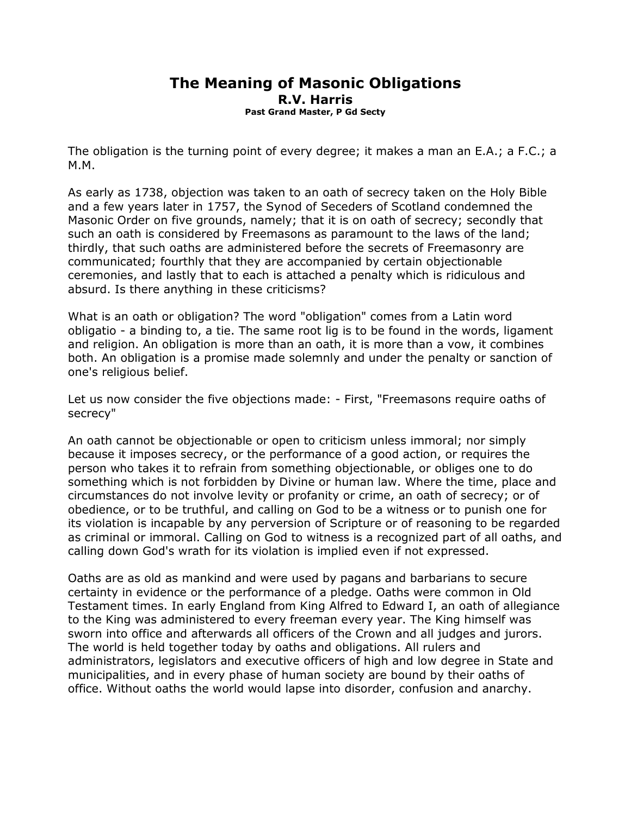## The Meaning of Masonic Obligations R.V. Harris Past Grand Master, P Gd Secty

The obligation is the turning point of every degree; it makes a man an E.A.; a F.C.; a M.M.

As early as 1738, objection was taken to an oath of secrecy taken on the Holy Bible and a few years later in 1757, the Synod of Seceders of Scotland condemned the Masonic Order on five grounds, namely; that it is on oath of secrecy; secondly that such an oath is considered by Freemasons as paramount to the laws of the land; thirdly, that such oaths are administered before the secrets of Freemasonry are communicated; fourthly that they are accompanied by certain objectionable ceremonies, and lastly that to each is attached a penalty which is ridiculous and absurd. Is there anything in these criticisms?

What is an oath or obligation? The word "obligation" comes from a Latin word obligatio - a binding to, a tie. The same root lig is to be found in the words, ligament and religion. An obligation is more than an oath, it is more than a vow, it combines both. An obligation is a promise made solemnly and under the penalty or sanction of one's religious belief.

Let us now consider the five objections made: - First, "Freemasons require oaths of secrecy"

An oath cannot be objectionable or open to criticism unless immoral; nor simply because it imposes secrecy, or the performance of a good action, or requires the person who takes it to refrain from something objectionable, or obliges one to do something which is not forbidden by Divine or human law. Where the time, place and circumstances do not involve levity or profanity or crime, an oath of secrecy; or of obedience, or to be truthful, and calling on God to be a witness or to punish one for its violation is incapable by any perversion of Scripture or of reasoning to be regarded as criminal or immoral. Calling on God to witness is a recognized part of all oaths, and calling down God's wrath for its violation is implied even if not expressed.

Oaths are as old as mankind and were used by pagans and barbarians to secure certainty in evidence or the performance of a pledge. Oaths were common in Old Testament times. In early England from King Alfred to Edward I, an oath of allegiance to the King was administered to every freeman every year. The King himself was sworn into office and afterwards all officers of the Crown and all judges and jurors. The world is held together today by oaths and obligations. All rulers and administrators, legislators and executive officers of high and low degree in State and municipalities, and in every phase of human society are bound by their oaths of office. Without oaths the world would lapse into disorder, confusion and anarchy.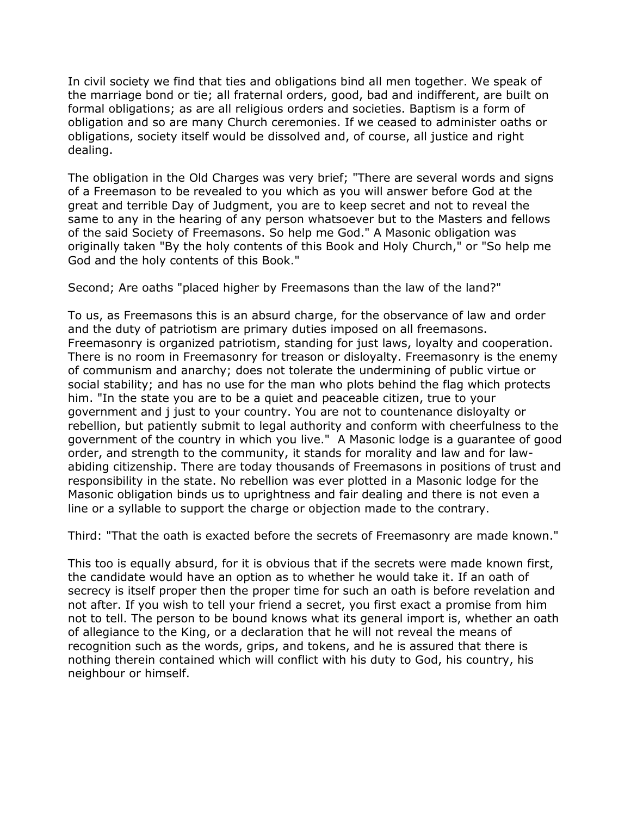In civil society we find that ties and obligations bind all men together. We speak of the marriage bond or tie; all fraternal orders, good, bad and indifferent, are built on formal obligations; as are all religious orders and societies. Baptism is a form of obligation and so are many Church ceremonies. If we ceased to administer oaths or obligations, society itself would be dissolved and, of course, all justice and right dealing.

The obligation in the Old Charges was very brief; "There are several words and signs of a Freemason to be revealed to you which as you will answer before God at the great and terrible Day of Judgment, you are to keep secret and not to reveal the same to any in the hearing of any person whatsoever but to the Masters and fellows of the said Society of Freemasons. So help me God." A Masonic obligation was originally taken "By the holy contents of this Book and Holy Church," or "So help me God and the holy contents of this Book."

Second; Are oaths "placed higher by Freemasons than the law of the land?"

To us, as Freemasons this is an absurd charge, for the observance of law and order and the duty of patriotism are primary duties imposed on all freemasons. Freemasonry is organized patriotism, standing for just laws, loyalty and cooperation. There is no room in Freemasonry for treason or disloyalty. Freemasonry is the enemy of communism and anarchy; does not tolerate the undermining of public virtue or social stability; and has no use for the man who plots behind the flag which protects him. "In the state you are to be a quiet and peaceable citizen, true to your government and j just to your country. You are not to countenance disloyalty or rebellion, but patiently submit to legal authority and conform with cheerfulness to the government of the country in which you live." A Masonic lodge is a guarantee of good order, and strength to the community, it stands for morality and law and for lawabiding citizenship. There are today thousands of Freemasons in positions of trust and responsibility in the state. No rebellion was ever plotted in a Masonic lodge for the Masonic obligation binds us to uprightness and fair dealing and there is not even a line or a syllable to support the charge or objection made to the contrary.

Third: "That the oath is exacted before the secrets of Freemasonry are made known."

This too is equally absurd, for it is obvious that if the secrets were made known first, the candidate would have an option as to whether he would take it. If an oath of secrecy is itself proper then the proper time for such an oath is before revelation and not after. If you wish to tell your friend a secret, you first exact a promise from him not to tell. The person to be bound knows what its general import is, whether an oath of allegiance to the King, or a declaration that he will not reveal the means of recognition such as the words, grips, and tokens, and he is assured that there is nothing therein contained which will conflict with his duty to God, his country, his neighbour or himself.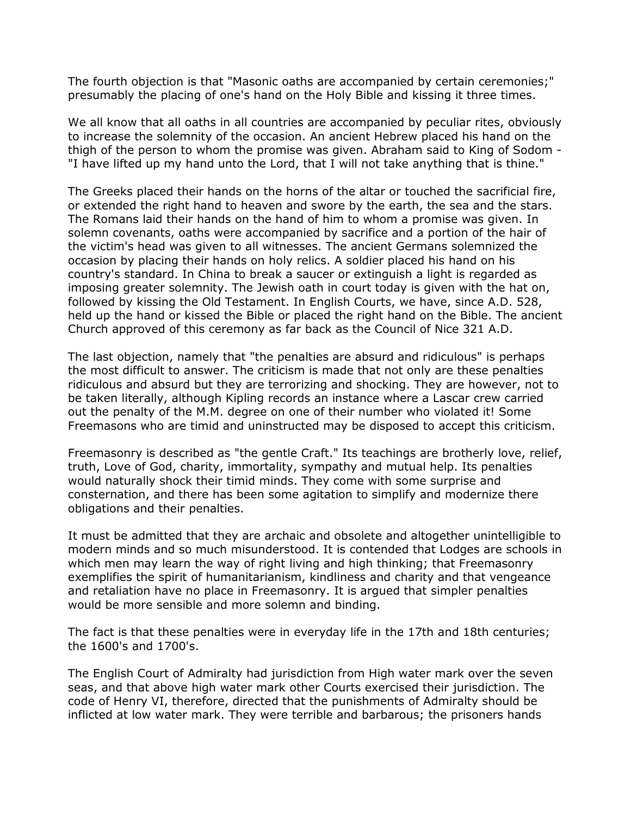The fourth objection is that "Masonic oaths are accompanied by certain ceremonies;" presumably the placing of one's hand on the Holy Bible and kissing it three times.

We all know that all oaths in all countries are accompanied by peculiar rites, obviously to increase the solemnity of the occasion. An ancient Hebrew placed his hand on the thigh of the person to whom the promise was given. Abraham said to King of Sodom - "I have lifted up my hand unto the Lord, that I will not take anything that is thine."

The Greeks placed their hands on the horns of the altar or touched the sacrificial fire, or extended the right hand to heaven and swore by the earth, the sea and the stars. The Romans laid their hands on the hand of him to whom a promise was given. In solemn covenants, oaths were accompanied by sacrifice and a portion of the hair of the victim's head was given to all witnesses. The ancient Germans solemnized the occasion by placing their hands on holy relics. A soldier placed his hand on his country's standard. In China to break a saucer or extinguish a light is regarded as imposing greater solemnity. The Jewish oath in court today is given with the hat on, followed by kissing the Old Testament. In English Courts, we have, since A.D. 528, held up the hand or kissed the Bible or placed the right hand on the Bible. The ancient Church approved of this ceremony as far back as the Council of Nice 321 A.D.

The last objection, namely that "the penalties are absurd and ridiculous" is perhaps the most difficult to answer. The criticism is made that not only are these penalties ridiculous and absurd but they are terrorizing and shocking. They are however, not to be taken literally, although Kipling records an instance where a Lascar crew carried out the penalty of the M.M. degree on one of their number who violated it! Some Freemasons who are timid and uninstructed may be disposed to accept this criticism.

Freemasonry is described as "the gentle Craft." Its teachings are brotherly love, relief, truth, Love of God, charity, immortality, sympathy and mutual help. Its penalties would naturally shock their timid minds. They come with some surprise and consternation, and there has been some agitation to simplify and modernize there obligations and their penalties.

It must be admitted that they are archaic and obsolete and altogether unintelligible to modern minds and so much misunderstood. It is contended that Lodges are schools in which men may learn the way of right living and high thinking; that Freemasonry exemplifies the spirit of humanitarianism, kindliness and charity and that vengeance and retaliation have no place in Freemasonry. It is argued that simpler penalties would be more sensible and more solemn and binding.

The fact is that these penalties were in everyday life in the 17th and 18th centuries; the 1600's and 1700's.

The English Court of Admiralty had jurisdiction from High water mark over the seven seas, and that above high water mark other Courts exercised their jurisdiction. The code of Henry VI, therefore, directed that the punishments of Admiralty should be inflicted at low water mark. They were terrible and barbarous; the prisoners hands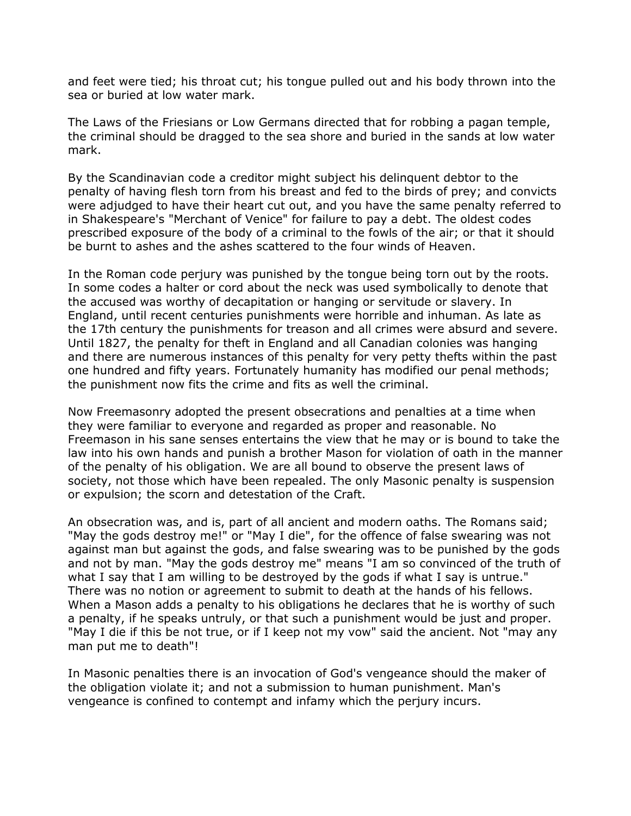and feet were tied; his throat cut; his tongue pulled out and his body thrown into the sea or buried at low water mark.

The Laws of the Friesians or Low Germans directed that for robbing a pagan temple, the criminal should be dragged to the sea shore and buried in the sands at low water mark.

By the Scandinavian code a creditor might subject his delinquent debtor to the penalty of having flesh torn from his breast and fed to the birds of prey; and convicts were adjudged to have their heart cut out, and you have the same penalty referred to in Shakespeare's "Merchant of Venice" for failure to pay a debt. The oldest codes prescribed exposure of the body of a criminal to the fowls of the air; or that it should be burnt to ashes and the ashes scattered to the four winds of Heaven.

In the Roman code perjury was punished by the tongue being torn out by the roots. In some codes a halter or cord about the neck was used symbolically to denote that the accused was worthy of decapitation or hanging or servitude or slavery. In England, until recent centuries punishments were horrible and inhuman. As late as the 17th century the punishments for treason and all crimes were absurd and severe. Until 1827, the penalty for theft in England and all Canadian colonies was hanging and there are numerous instances of this penalty for very petty thefts within the past one hundred and fifty years. Fortunately humanity has modified our penal methods; the punishment now fits the crime and fits as well the criminal.

Now Freemasonry adopted the present obsecrations and penalties at a time when they were familiar to everyone and regarded as proper and reasonable. No Freemason in his sane senses entertains the view that he may or is bound to take the law into his own hands and punish a brother Mason for violation of oath in the manner of the penalty of his obligation. We are all bound to observe the present laws of society, not those which have been repealed. The only Masonic penalty is suspension or expulsion; the scorn and detestation of the Craft.

An obsecration was, and is, part of all ancient and modern oaths. The Romans said; "May the gods destroy me!" or "May I die", for the offence of false swearing was not against man but against the gods, and false swearing was to be punished by the gods and not by man. "May the gods destroy me" means "I am so convinced of the truth of what I say that I am willing to be destroyed by the gods if what I say is untrue." There was no notion or agreement to submit to death at the hands of his fellows. When a Mason adds a penalty to his obligations he declares that he is worthy of such a penalty, if he speaks untruly, or that such a punishment would be just and proper. "May I die if this be not true, or if I keep not my vow" said the ancient. Not "may any man put me to death"!

In Masonic penalties there is an invocation of God's vengeance should the maker of the obligation violate it; and not a submission to human punishment. Man's vengeance is confined to contempt and infamy which the perjury incurs.